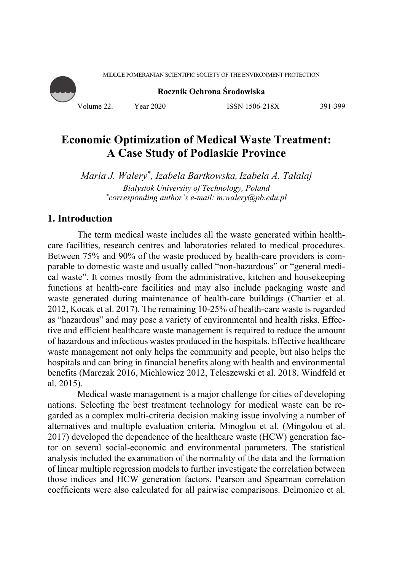**Rocznik Ochrona Środowiska** Volume 22. Year 2020 ISSN 1506-218X 391-399

# **Economic Optimization of Medical Waste Treatment: A Case Study of Podlaskie Province**

*Maria J. Walery\*, Izabela Bartkowska,Izabela A. Tałalaj Bialystok University of Technology, Poland \* corresponding author's e-mail: m.walery@pb.edu.pl* 

# **1. Introduction**

The term medical waste includes all the waste generated within healthcare facilities, research centres and laboratories related to medical procedures. Between 75% and 90% of the waste produced by health-care providers is comparable to domestic waste and usually called "non-hazardous" or "general medical waste". It comes mostly from the administrative, kitchen and housekeeping functions at health-care facilities and may also include packaging waste and waste generated during maintenance of health-care buildings (Chartier et al. 2012, Kocak et al. 2017). The remaining 10-25% of health-care waste is regarded as "hazardous" and may pose a variety of environmental and health risks. Effective and efficient healthcare waste management is required to reduce the amount of hazardous and infectious wastes produced in the hospitals. Effective healthcare waste management not only helps the community and people, but also helps the hospitals and can bring in financial benefits along with health and environmental benefits (Marczak 2016, Michlowicz 2012, Teleszewski et al. 2018, Windfeld et al. 2015).

Medical waste management is a major challenge for cities of developing nations. Selecting the best treatment technology for medical waste can be regarded as a complex multi-criteria decision making issue involving a number of alternatives and multiple evaluation criteria. Minoglou et al. (Mingolou et al. 2017) developed the dependence of the healthcare waste (HCW) generation factor on several social-economic and environmental parameters. The statistical analysis included the examination of the normality of the data and the formation of linear multiple regression models to further investigate the correlation between those indices and HCW generation factors. Pearson and Spearman correlation coefficients were also calculated for all pairwise comparisons. Delmonico et al.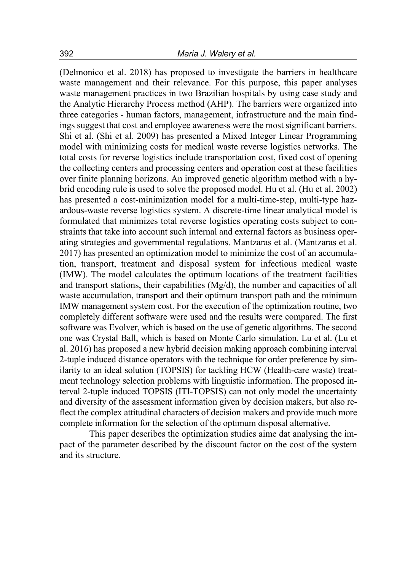(Delmonico et al. 2018) has proposed to investigate the barriers in healthcare waste management and their relevance. For this purpose, this paper analyses waste management practices in two Brazilian hospitals by using case study and the Analytic Hierarchy Process method (AHP). The barriers were organized into three categories - human factors, management, infrastructure and the main findings suggest that cost and employee awareness were the most significant barriers. Shi et al. (Shi et al. 2009) has presented a Mixed Integer Linear Programming model with minimizing costs for medical waste reverse logistics networks. The total costs for reverse logistics include transportation cost, fixed cost of opening the collecting centers and processing centers and operation cost at these facilities over finite planning horizons. An improved genetic algorithm method with a hybrid encoding rule is used to solve the proposed model. Hu et al. (Hu et al. 2002) has presented a cost-minimization model for a multi-time-step, multi-type hazardous-waste reverse logistics system. A discrete-time linear analytical model is formulated that minimizes total reverse logistics operating costs subject to constraints that take into account such internal and external factors as business operating strategies and governmental regulations. Mantzaras et al. (Mantzaras et al. 2017) has presented an optimization model to minimize the cost of an accumulation, transport, treatment and disposal system for infectious medical waste (IMW). The model calculates the optimum locations of the treatment facilities and transport stations, their capabilities  $(Mg/d)$ , the number and capacities of all waste accumulation, transport and their optimum transport path and the minimum IMW management system cost. For the execution of the optimization routine, two completely different software were used and the results were compared. The first software was Evolver, which is based on the use of genetic algorithms. The second one was Crystal Ball, which is based on Monte Carlo simulation. Lu et al. (Lu et al. 2016) has proposed a new hybrid decision making approach combining interval 2-tuple induced distance operators with the technique for order preference by similarity to an ideal solution (TOPSIS) for tackling HCW (Health-care waste) treatment technology selection problems with linguistic information. The proposed interval 2-tuple induced TOPSIS (ITI-TOPSIS) can not only model the uncertainty and diversity of the assessment information given by decision makers, but also reflect the complex attitudinal characters of decision makers and provide much more complete information for the selection of the optimum disposal alternative.

This paper describes the optimization studies aime dat analysing the impact of the parameter described by the discount factor on the cost of the system and its structure.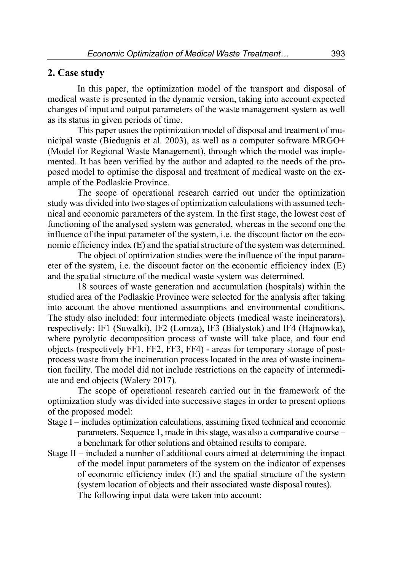### **2. Case study**

In this paper, the optimization model of the transport and disposal of medical waste is presented in the dynamic version, taking into account expected changes of input and output parameters of the waste management system as well as its status in given periods of time.

This paper usues the optimization model of disposal and treatment of municipal waste (Biedugnis et al. 2003), as well as a computer software MRGO+ (Model for Regional Waste Management), through which the model was implemented. It has been verified by the author and adapted to the needs of the proposed model to optimise the disposal and treatment of medical waste on the example of the Podlaskie Province.

The scope of operational research carried out under the optimization study was divided into two stages of optimization calculations with assumed technical and economic parameters of the system. In the first stage, the lowest cost of functioning of the analysed system was generated, whereas in the second one the influence of the input parameter of the system, i.e. the discount factor on the economic efficiency index (E) and the spatial structure of the system was determined.

The object of optimization studies were the influence of the input parameter of the system, i.e. the discount factor on the economic efficiency index (E) and the spatial structure of the medical waste system was determined.

18 sources of waste generation and accumulation (hospitals) within the studied area of the Podlaskie Province were selected for the analysis after taking into account the above mentioned assumptions and environmental conditions. The study also included: four intermediate objects (medical waste incinerators), respectively: IF1 (Suwalki), IF2 (Lomza), IF3 (Bialystok) and IF4 (Hajnowka), where pyrolytic decomposition process of waste will take place, and four end objects (respectively FF1, FF2, FF3, FF4) - areas for temporary storage of postprocess waste from the incineration process located in the area of waste incineration facility. The model did not include restrictions on the capacity of intermediate and end objects (Walery 2017).

The scope of operational research carried out in the framework of the optimization study was divided into successive stages in order to present options of the proposed model:

- Stage I includes optimization calculations, assuming fixed technical and economic parameters. Sequence 1, made in this stage, was also a comparative course – a benchmark for other solutions and obtained results to compare.
- Stage II included a number of additional cours aimed at determining the impact of the model input parameters of the system on the indicator of expenses of economic efficiency index (E) and the spatial structure of the system (system location of objects and their associated waste disposal routes). The following input data were taken into account: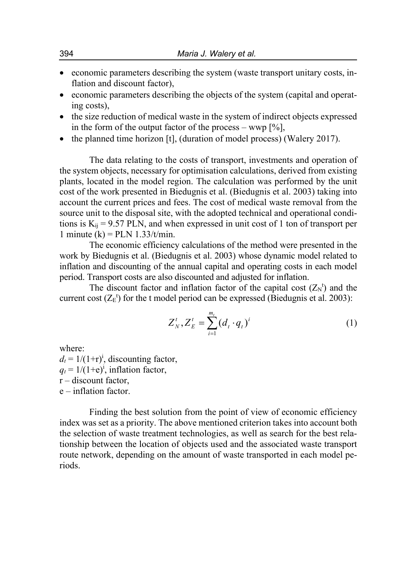- economic parameters describing the system (waste transport unitary costs, inflation and discount factor),
- economic parameters describing the objects of the system (capital and operating costs),
- the size reduction of medical waste in the system of indirect objects expressed in the form of the output factor of the process – wwp  $[\%]$ ,
- $\bullet$  the planned time horizon [t], (duration of model process) (Walery 2017).

The data relating to the costs of transport, investments and operation of the system objects, necessary for optimisation calculations, derived from existing plants, located in the model region. The calculation was performed by the unit cost of the work presented in Biedugnis et al. (Biedugnis et al. 2003) taking into account the current prices and fees. The cost of medical waste removal from the source unit to the disposal site, with the adopted technical and operational conditions is  $K_{ij} = 9.57$  PLN, and when expressed in unit cost of 1 ton of transport per 1 minute  $(k)$  = PLN 1.33/t/min.

The economic efficiency calculations of the method were presented in the work by Biedugnis et al. (Biedugnis et al. 2003) whose dynamic model related to inflation and discounting of the annual capital and operating costs in each model period. Transport costs are also discounted and adjusted for inflation.

The discount factor and inflation factor of the capital cost  $(Z_N^t)$  and the current cost  $(Z_E^t)$  for the t model period can be expressed (Biedugnis et al. 2003):

$$
Z_N^t, Z_E^t = \sum_{i=1}^{m_t} (d_t \cdot q_t)^i
$$
 (1)

where:  $d_t = 1/(1+r)^i$ , discounting factor,  $q_t = 1/(1+e)^i$ , inflation factor,  $r$  – discount factor, e – inflation factor.

Finding the best solution from the point of view of economic efficiency index was set as a priority. The above mentioned criterion takes into account both the selection of waste treatment technologies, as well as search for the best relationship between the location of objects used and the associated waste transport route network, depending on the amount of waste transported in each model periods.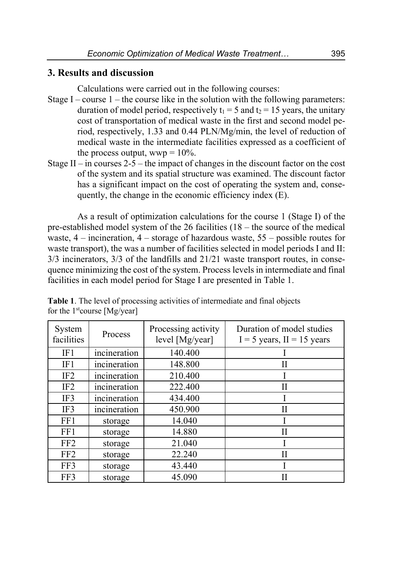## **3. Results and discussion**

Calculations were carried out in the following courses:

- Stage I course  $1$  the course like in the solution with the following parameters: duration of model period, respectively  $t_1 = 5$  and  $t_2 = 15$  years, the unitary cost of transportation of medical waste in the first and second model period, respectively, 1.33 and 0.44 PLN/Mg/min, the level of reduction of medical waste in the intermediate facilities expressed as a coefficient of the process output,  $wwp = 10\%$ .
- Stage II in courses 2-5 the impact of changes in the discount factor on the cost of the system and its spatial structure was examined. The discount factor has a significant impact on the cost of operating the system and, consequently, the change in the economic efficiency index (E).

As a result of optimization calculations for the course 1 (Stage I) of the pre-established model system of the 26 facilities (18 – the source of the medical waste,  $4$  – incineration,  $4$  – storage of hazardous waste,  $55$  – possible routes for waste transport), the was a number of facilities selected in model periods I and II: 3/3 incinerators, 3/3 of the landfills and 21/21 waste transport routes, in consequence minimizing the cost of the system. Process levels in intermediate and final facilities in each model period for Stage I are presented in Table 1.

| System<br>facilities | Process      | Processing activity<br>level [Mg/year] | Duration of model studies<br>$I = 5$ years, $II = 15$ years |
|----------------------|--------------|----------------------------------------|-------------------------------------------------------------|
| IF1                  | incineration | 140.400                                |                                                             |
| IF1                  | incineration | 148.800                                | Н                                                           |
| IF <sub>2</sub>      | incineration | 210.400                                |                                                             |
| IF <sub>2</sub>      | incineration | 222.400                                | Π                                                           |
| IF3                  | incineration | 434.400                                |                                                             |
| IF3                  | incineration | 450.900                                | Н                                                           |
| FF1                  | storage      | 14.040                                 |                                                             |
| FF1                  | storage      | 14.880                                 | Н                                                           |
| FF <sub>2</sub>      | storage      | 21.040                                 |                                                             |
| FF <sub>2</sub>      | storage      | 22.240                                 | Н                                                           |
| FF3                  | storage      | 43.440                                 |                                                             |
| FF3                  | storage      | 45.090                                 |                                                             |

**Table 1**. The level of processing activities of intermediate and final objects for the  $1<sup>st</sup> course [Mg/year]$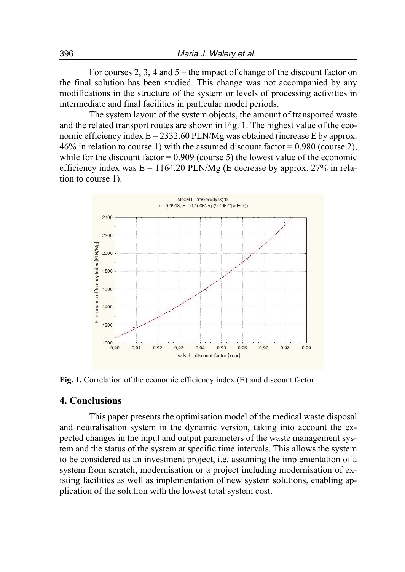For courses 2, 3, 4 and 5 – the impact of change of the discount factor on the final solution has been studied. This change was not accompanied by any modifications in the structure of the system or levels of processing activities in intermediate and final facilities in particular model periods.

The system layout of the system objects, the amount of transported waste and the related transport routes are shown in Fig. 1. The highest value of the economic efficiency index  $E = 2332.60$  PLN/Mg was obtained (increase E by approx. 46% in relation to course 1) with the assumed discount factor =  $0.980$  (course 2), while for the discount factor  $= 0.909$  (course 5) the lowest value of the economic efficiency index was  $E = 1164.20$  PLN/Mg (E decrease by approx. 27% in relation to course 1).



**Fig. 1.** Correlation of the economic efficiency index (E) and discount factor

### **4. Conclusions**

This paper presents the optimisation model of the medical waste disposal and neutralisation system in the dynamic version, taking into account the expected changes in the input and output parameters of the waste management system and the status of the system at specific time intervals. This allows the system to be considered as an investment project, i.e. assuming the implementation of a system from scratch, modernisation or a project including modernisation of existing facilities as well as implementation of new system solutions, enabling application of the solution with the lowest total system cost.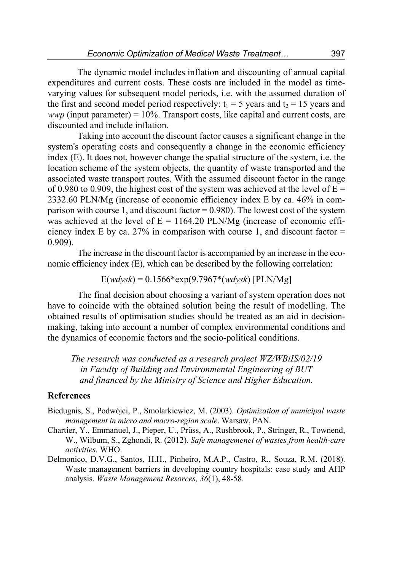The dynamic model includes inflation and discounting of annual capital expenditures and current costs. These costs are included in the model as timevarying values for subsequent model periods, i.e. with the assumed duration of the first and second model period respectively:  $t_1 = 5$  years and  $t_2 = 15$  years and *wwp* (input parameter) =  $10\%$ . Transport costs, like capital and current costs, are discounted and include inflation.

Taking into account the discount factor causes a significant change in the system's operating costs and consequently a change in the economic efficiency index (E). It does not, however change the spatial structure of the system, i.e. the location scheme of the system objects, the quantity of waste transported and the associated waste transport routes. With the assumed discount factor in the range of 0.980 to 0.909, the highest cost of the system was achieved at the level of  $E =$ 2332.60 PLN/Mg (increase of economic efficiency index E by ca. 46% in comparison with course 1, and discount factor = 0.980). The lowest cost of the system was achieved at the level of  $E = 1164.20$  PLN/Mg (increase of economic efficiency index E by ca. 27% in comparison with course 1, and discount factor  $=$ 0.909).

The increase in the discount factor is accompanied by an increase in the economic efficiency index (E), which can be described by the following correlation:

E(*wdysk*) = 0.1566\*exp(9.7967\*(*wdysk*) [PLN/Mg]

The final decision about choosing a variant of system operation does not have to coincide with the obtained solution being the result of modelling. The obtained results of optimisation studies should be treated as an aid in decisionmaking, taking into account a number of complex environmental conditions and the dynamics of economic factors and the socio-political conditions.

*The research was conducted as a research project WZ/WBiIS/02/19 in Faculty of Building and Environmental Engineering of BUT and financed by the Ministry of Science and Higher Education.* 

### **References**

- Biedugnis, S., Podwójci, P., Smolarkiewicz, M. (2003). *Optimization of municipal waste management in micro and macro-region scale*. Warsaw, PAN.
- Chartier, Y., Emmanuel, J., Pieper, U., Prüss, A., Rushbrook, P., Stringer, R., Townend, W., Wilbum, S., Zghondi, R. (2012). *Safe managemenet of wastes from health-care activities*. WHO.
- Delmonico, D.V.G., Santos, H.H., Pinheiro, M.A.P., Castro, R., Souza, R.M. (2018). Waste management barriers in developing country hospitals: case study and AHP analysis. *Waste Management Resorces, 36*(1), 48-58.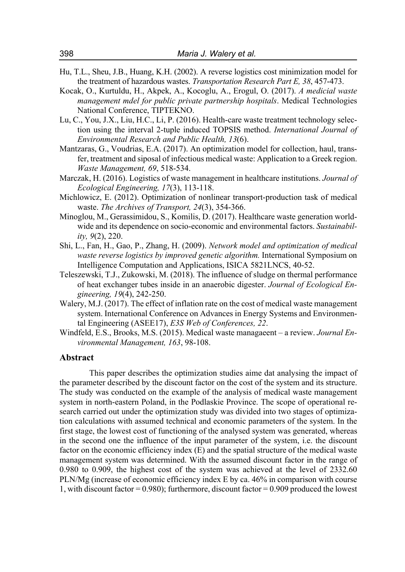- Hu, T.L., Sheu, J.B., Huang, K.H. (2002). A reverse logistics cost minimization model for the treatment of hazardous wastes. *Transportation Research Part E, 38*, 457-473.
- Kocak, O., Kurtuldu, H., Akpek, A., Kocoglu, A., Erogul, O. (2017). *A medicial waste management mdel for public private partnership hospitals*. Medical Technologies National Conference, TIPTEKNO.
- Lu, C., You, J.X., Liu, H.C., Li, P. (2016). Health-care waste treatment technology selection using the interval 2-tuple induced TOPSIS method. *International Journal of Environmental Research and Public Health, 13*(6).
- Mantzaras, G., Voudrias, E.A. (2017). An optimization model for collection, haul, transfer, treatment and siposal of infectious medical waste: Application to a Greek region. *Waste Management, 69*, 518-534.
- Marczak, H. (2016). Logistics of waste management in healthcare institutions. *Journal of Ecological Engineering, 17*(3), 113-118.
- Michlowicz, E. (2012). Optimization of nonlinear transport-production task of medical waste. *The Archives of Transport, 24*(3), 354-366.
- Minoglou, M., Gerassimidou, S., Komilis, D. (2017). Healthcare waste generation worldwide and its dependence on socio-economic and environmental factors. *Sustainability, 9*(2), 220.
- Shi, L., Fan, H., Gao, P., Zhang, H. (2009). *Network model and optimization of medical waste reverse logistics by improved genetic algorithm.* International Symposium on Intelligence Computation and Applications, ISICA 5821LNCS, 40-52.
- Teleszewski, T.J., Zukowski, M. (2018). The influence of sludge on thermal performance of heat exchanger tubes inside in an anaerobic digester. *Journal of Ecological Engineering, 19*(4), 242-250.
- Walery, M.J. (2017). The effect of inflation rate on the cost of medical waste management system. International Conference on Advances in Energy Systems and Environmental Engineering (ASEE17), *E3S Web of Conferences, 22*.
- Windfeld, E.S., Brooks, M.S. (2015). Medical waste managaeent a review. *Journal Environmental Management, 163*, 98-108.

#### **Abstract**

This paper describes the optimization studies aime dat analysing the impact of the parameter described by the discount factor on the cost of the system and its structure. The study was conducted on the example of the analysis of medical waste management system in north-eastern Poland, in the Podlaskie Province. The scope of operational research carried out under the optimization study was divided into two stages of optimization calculations with assumed technical and economic parameters of the system. In the first stage, the lowest cost of functioning of the analysed system was generated, whereas in the second one the influence of the input parameter of the system, i.e. the discount factor on the economic efficiency index (E) and the spatial structure of the medical waste management system was determined. With the assumed discount factor in the range of 0.980 to 0.909, the highest cost of the system was achieved at the level of 2332.60 PLN/Mg (increase of economic efficiency index E by ca. 46% in comparison with course 1, with discount factor  $= 0.980$ ; furthermore, discount factor  $= 0.909$  produced the lowest